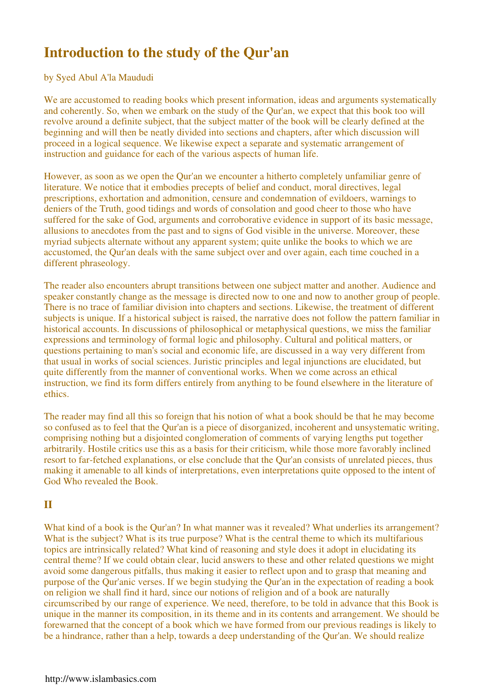## **Introduction to the study of the Qur'an**

by Syed Abul A'la Maududi

We are accustomed to reading books which present information, ideas and arguments systematically and coherently. So, when we embark on the study of the Qur'an, we expect that this book too will revolve around a definite subject, that the subject matter of the book will be clearly defined at the beginning and will then be neatly divided into sections and chapters, after which discussion will proceed in a logical sequence. We likewise expect a separate and systematic arrangement of instruction and guidance for each of the various aspects of human life.

However, as soon as we open the Qur'an we encounter a hitherto completely unfamiliar genre of literature. We notice that it embodies precepts of belief and conduct, moral directives, legal prescriptions, exhortation and admonition, censure and condemnation of evildoers, warnings to deniers of the Truth, good tidings and words of consolation and good cheer to those who have suffered for the sake of God, arguments and corroborative evidence in support of its basic message, allusions to anecdotes from the past and to signs of God visible in the universe. Moreover, these myriad subjects alternate without any apparent system; quite unlike the books to which we are accustomed, the Qur'an deals with the same subject over and over again, each time couched in a different phraseology.

The reader also encounters abrupt transitions between one subject matter and another. Audience and speaker constantly change as the message is directed now to one and now to another group of people. There is no trace of familiar division into chapters and sections. Likewise, the treatment of different subjects is unique. If a historical subject is raised, the narrative does not follow the pattern familiar in historical accounts. In discussions of philosophical or metaphysical questions, we miss the familiar expressions and terminology of formal logic and philosophy. Cultural and political matters, or questions pertaining to man's social and economic life, are discussed in a way very different from that usual in works of social sciences. Juristic principles and legal injunctions are elucidated, but quite differently from the manner of conventional works. When we come across an ethical instruction, we find its form differs entirely from anything to be found elsewhere in the literature of ethics.

The reader may find all this so foreign that his notion of what a book should be that he may become so confused as to feel that the Qur'an is a piece of disorganized, incoherent and unsystematic writing, comprising nothing but a disjointed conglomeration of comments of varying lengths put together arbitrarily. Hostile critics use this as a basis for their criticism, while those more favorably inclined resort to far-fetched explanations, or else conclude that the Qur'an consists of unrelated pieces, thus making it amenable to all kinds of interpretations, even interpretations quite opposed to the intent of God Who revealed the Book.

## **II**

What kind of a book is the Our'an? In what manner was it revealed? What underlies its arrangement? What is the subject? What is its true purpose? What is the central theme to which its multifarious topics are intrinsically related? What kind of reasoning and style does it adopt in elucidating its central theme? If we could obtain clear, lucid answers to these and other related questions we might avoid some dangerous pitfalls, thus making it easier to reflect upon and to grasp that meaning and purpose of the Qur'anic verses. If we begin studying the Qur'an in the expectation of reading a book on religion we shall find it hard, since our notions of religion and of a book are naturally circumscribed by our range of experience. We need, therefore, to be told in advance that this Book is unique in the manner its composition, in its theme and in its contents and arrangement. We should be forewarned that the concept of a book which we have formed from our previous readings is likely to be a hindrance, rather than a help, towards a deep understanding of the Qur'an. We should realize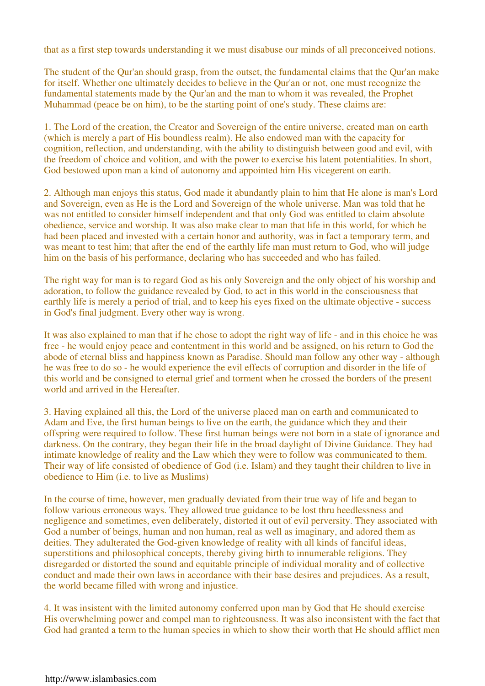that as a first step towards understanding it we must disabuse our minds of all preconceived notions.

The student of the Qur'an should grasp, from the outset, the fundamental claims that the Qur'an make for itself. Whether one ultimately decides to believe in the Qur'an or not, one must recognize the fundamental statements made by the Qur'an and the man to whom it was revealed, the Prophet Muhammad (peace be on him), to be the starting point of one's study. These claims are:

1. The Lord of the creation, the Creator and Sovereign of the entire universe, created man on earth (which is merely a part of His boundless realm). He also endowed man with the capacity for cognition, reflection, and understanding, with the ability to distinguish between good and evil, with the freedom of choice and volition, and with the power to exercise his latent potentialities. In short, God bestowed upon man a kind of autonomy and appointed him His vicegerent on earth.

2. Although man enjoys this status, God made it abundantly plain to him that He alone is man's Lord and Sovereign, even as He is the Lord and Sovereign of the whole universe. Man was told that he was not entitled to consider himself independent and that only God was entitled to claim absolute obedience, service and worship. It was also make clear to man that life in this world, for which he had been placed and invested with a certain honor and authority, was in fact a temporary term, and was meant to test him; that after the end of the earthly life man must return to God, who will judge him on the basis of his performance, declaring who has succeeded and who has failed.

The right way for man is to regard God as his only Sovereign and the only object of his worship and adoration, to follow the guidance revealed by God, to act in this world in the consciousness that earthly life is merely a period of trial, and to keep his eyes fixed on the ultimate objective - success in God's final judgment. Every other way is wrong.

It was also explained to man that if he chose to adopt the right way of life - and in this choice he was free - he would enjoy peace and contentment in this world and be assigned, on his return to God the abode of eternal bliss and happiness known as Paradise. Should man follow any other way - although he was free to do so - he would experience the evil effects of corruption and disorder in the life of this world and be consigned to eternal grief and torment when he crossed the borders of the present world and arrived in the Hereafter.

3. Having explained all this, the Lord of the universe placed man on earth and communicated to Adam and Eve, the first human beings to live on the earth, the guidance which they and their offspring were required to follow. These first human beings were not born in a state of ignorance and darkness. On the contrary, they began their life in the broad daylight of Divine Guidance. They had intimate knowledge of reality and the Law which they were to follow was communicated to them. Their way of life consisted of obedience of God (i.e. Islam) and they taught their children to live in obedience to Him (i.e. to live as Muslims)

In the course of time, however, men gradually deviated from their true way of life and began to follow various erroneous ways. They allowed true guidance to be lost thru heedlessness and negligence and sometimes, even deliberately, distorted it out of evil perversity. They associated with God a number of beings, human and non human, real as well as imaginary, and adored them as deities. They adulterated the God-given knowledge of reality with all kinds of fanciful ideas, superstitions and philosophical concepts, thereby giving birth to innumerable religions. They disregarded or distorted the sound and equitable principle of individual morality and of collective conduct and made their own laws in accordance with their base desires and prejudices. As a result, the world became filled with wrong and injustice.

4. It was insistent with the limited autonomy conferred upon man by God that He should exercise His overwhelming power and compel man to righteousness. It was also inconsistent with the fact that God had granted a term to the human species in which to show their worth that He should afflict men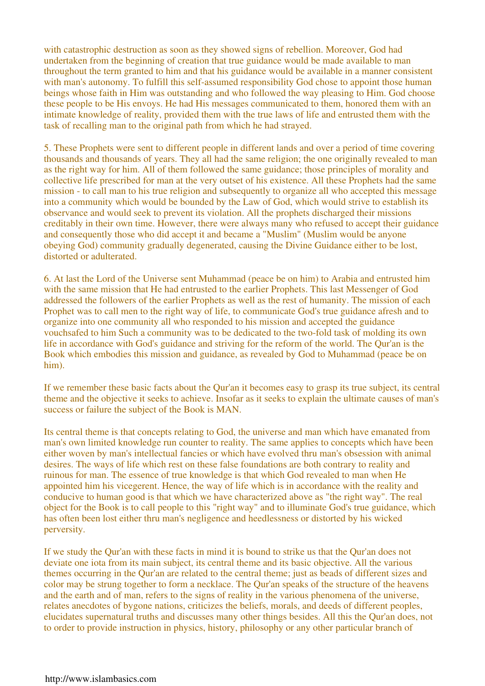with catastrophic destruction as soon as they showed signs of rebellion. Moreover, God had undertaken from the beginning of creation that true guidance would be made available to man throughout the term granted to him and that his guidance would be available in a manner consistent with man's autonomy. To fulfill this self-assumed responsibility God chose to appoint those human beings whose faith in Him was outstanding and who followed the way pleasing to Him. God choose these people to be His envoys. He had His messages communicated to them, honored them with an intimate knowledge of reality, provided them with the true laws of life and entrusted them with the task of recalling man to the original path from which he had strayed.

5. These Prophets were sent to different people in different lands and over a period of time covering thousands and thousands of years. They all had the same religion; the one originally revealed to man as the right way for him. All of them followed the same guidance; those principles of morality and collective life prescribed for man at the very outset of his existence. All these Prophets had the same mission - to call man to his true religion and subsequently to organize all who accepted this message into a community which would be bounded by the Law of God, which would strive to establish its observance and would seek to prevent its violation. All the prophets discharged their missions creditably in their own time. However, there were always many who refused to accept their guidance and consequently those who did accept it and became a "Muslim" (Muslim would be anyone obeying God) community gradually degenerated, causing the Divine Guidance either to be lost, distorted or adulterated.

6. At last the Lord of the Universe sent Muhammad (peace be on him) to Arabia and entrusted him with the same mission that He had entrusted to the earlier Prophets. This last Messenger of God addressed the followers of the earlier Prophets as well as the rest of humanity. The mission of each Prophet was to call men to the right way of life, to communicate God's true guidance afresh and to organize into one community all who responded to his mission and accepted the guidance vouchsafed to him Such a community was to be dedicated to the two-fold task of molding its own life in accordance with God's guidance and striving for the reform of the world. The Qur'an is the Book which embodies this mission and guidance, as revealed by God to Muhammad (peace be on him).

If we remember these basic facts about the Qur'an it becomes easy to grasp its true subject, its central theme and the objective it seeks to achieve. Insofar as it seeks to explain the ultimate causes of man's success or failure the subject of the Book is MAN.

Its central theme is that concepts relating to God, the universe and man which have emanated from man's own limited knowledge run counter to reality. The same applies to concepts which have been either woven by man's intellectual fancies or which have evolved thru man's obsession with animal desires. The ways of life which rest on these false foundations are both contrary to reality and ruinous for man. The essence of true knowledge is that which God revealed to man when He appointed him his vicegerent. Hence, the way of life which is in accordance with the reality and conducive to human good is that which we have characterized above as "the right way". The real object for the Book is to call people to this "right way" and to illuminate God's true guidance, which has often been lost either thru man's negligence and heedlessness or distorted by his wicked perversity.

If we study the Qur'an with these facts in mind it is bound to strike us that the Qur'an does not deviate one iota from its main subject, its central theme and its basic objective. All the various themes occurring in the Qur'an are related to the central theme; just as beads of different sizes and color may be strung together to form a necklace. The Qur'an speaks of the structure of the heavens and the earth and of man, refers to the signs of reality in the various phenomena of the universe, relates anecdotes of bygone nations, criticizes the beliefs, morals, and deeds of different peoples, elucidates supernatural truths and discusses many other things besides. All this the Qur'an does, not to order to provide instruction in physics, history, philosophy or any other particular branch of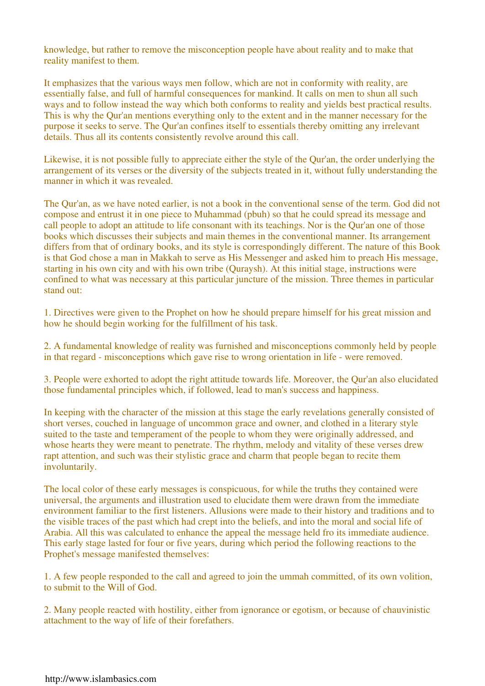knowledge, but rather to remove the misconception people have about reality and to make that reality manifest to them.

It emphasizes that the various ways men follow, which are not in conformity with reality, are essentially false, and full of harmful consequences for mankind. It calls on men to shun all such ways and to follow instead the way which both conforms to reality and yields best practical results. This is why the Qur'an mentions everything only to the extent and in the manner necessary for the purpose it seeks to serve. The Qur'an confines itself to essentials thereby omitting any irrelevant details. Thus all its contents consistently revolve around this call.

Likewise, it is not possible fully to appreciate either the style of the Qur'an, the order underlying the arrangement of its verses or the diversity of the subjects treated in it, without fully understanding the manner in which it was revealed.

The Qur'an, as we have noted earlier, is not a book in the conventional sense of the term. God did not compose and entrust it in one piece to Muhammad (pbuh) so that he could spread its message and call people to adopt an attitude to life consonant with its teachings. Nor is the Qur'an one of those books which discusses their subjects and main themes in the conventional manner. Its arrangement differs from that of ordinary books, and its style is correspondingly different. The nature of this Book is that God chose a man in Makkah to serve as His Messenger and asked him to preach His message, starting in his own city and with his own tribe (Quraysh). At this initial stage, instructions were confined to what was necessary at this particular juncture of the mission. Three themes in particular stand out:

1. Directives were given to the Prophet on how he should prepare himself for his great mission and how he should begin working for the fulfillment of his task.

2. A fundamental knowledge of reality was furnished and misconceptions commonly held by people in that regard - misconceptions which gave rise to wrong orientation in life - were removed.

3. People were exhorted to adopt the right attitude towards life. Moreover, the Qur'an also elucidated those fundamental principles which, if followed, lead to man's success and happiness.

In keeping with the character of the mission at this stage the early revelations generally consisted of short verses, couched in language of uncommon grace and owner, and clothed in a literary style suited to the taste and temperament of the people to whom they were originally addressed, and whose hearts they were meant to penetrate. The rhythm, melody and vitality of these verses drew rapt attention, and such was their stylistic grace and charm that people began to recite them involuntarily.

The local color of these early messages is conspicuous, for while the truths they contained were universal, the arguments and illustration used to elucidate them were drawn from the immediate environment familiar to the first listeners. Allusions were made to their history and traditions and to the visible traces of the past which had crept into the beliefs, and into the moral and social life of Arabia. All this was calculated to enhance the appeal the message held fro its immediate audience. This early stage lasted for four or five years, during which period the following reactions to the Prophet's message manifested themselves:

1. A few people responded to the call and agreed to join the ummah committed, of its own volition, to submit to the Will of God.

2. Many people reacted with hostility, either from ignorance or egotism, or because of chauvinistic attachment to the way of life of their forefathers.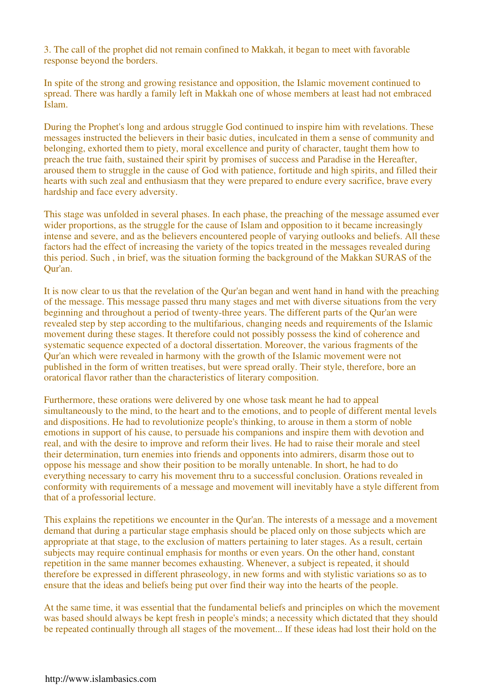3. The call of the prophet did not remain confined to Makkah, it began to meet with favorable response beyond the borders.

In spite of the strong and growing resistance and opposition, the Islamic movement continued to spread. There was hardly a family left in Makkah one of whose members at least had not embraced Islam.

During the Prophet's long and ardous struggle God continued to inspire him with revelations. These messages instructed the believers in their basic duties, inculcated in them a sense of community and belonging, exhorted them to piety, moral excellence and purity of character, taught them how to preach the true faith, sustained their spirit by promises of success and Paradise in the Hereafter, aroused them to struggle in the cause of God with patience, fortitude and high spirits, and filled their hearts with such zeal and enthusiasm that they were prepared to endure every sacrifice, brave every hardship and face every adversity.

This stage was unfolded in several phases. In each phase, the preaching of the message assumed ever wider proportions, as the struggle for the cause of Islam and opposition to it became increasingly intense and severe, and as the believers encountered people of varying outlooks and beliefs. All these factors had the effect of increasing the variety of the topics treated in the messages revealed during this period. Such , in brief, was the situation forming the background of the Makkan SURAS of the Qur'an.

It is now clear to us that the revelation of the Qur'an began and went hand in hand with the preaching of the message. This message passed thru many stages and met with diverse situations from the very beginning and throughout a period of twenty-three years. The different parts of the Qur'an were revealed step by step according to the multifarious, changing needs and requirements of the Islamic movement during these stages. It therefore could not possibly possess the kind of coherence and systematic sequence expected of a doctoral dissertation. Moreover, the various fragments of the Qur'an which were revealed in harmony with the growth of the Islamic movement were not published in the form of written treatises, but were spread orally. Their style, therefore, bore an oratorical flavor rather than the characteristics of literary composition.

Furthermore, these orations were delivered by one whose task meant he had to appeal simultaneously to the mind, to the heart and to the emotions, and to people of different mental levels and dispositions. He had to revolutionize people's thinking, to arouse in them a storm of noble emotions in support of his cause, to persuade his companions and inspire them with devotion and real, and with the desire to improve and reform their lives. He had to raise their morale and steel their determination, turn enemies into friends and opponents into admirers, disarm those out to oppose his message and show their position to be morally untenable. In short, he had to do everything necessary to carry his movement thru to a successful conclusion. Orations revealed in conformity with requirements of a message and movement will inevitably have a style different from that of a professorial lecture.

This explains the repetitions we encounter in the Qur'an. The interests of a message and a movement demand that during a particular stage emphasis should be placed only on those subjects which are appropriate at that stage, to the exclusion of matters pertaining to later stages. As a result, certain subjects may require continual emphasis for months or even years. On the other hand, constant repetition in the same manner becomes exhausting. Whenever, a subject is repeated, it should therefore be expressed in different phraseology, in new forms and with stylistic variations so as to ensure that the ideas and beliefs being put over find their way into the hearts of the people.

At the same time, it was essential that the fundamental beliefs and principles on which the movement was based should always be kept fresh in people's minds; a necessity which dictated that they should be repeated continually through all stages of the movement... If these ideas had lost their hold on the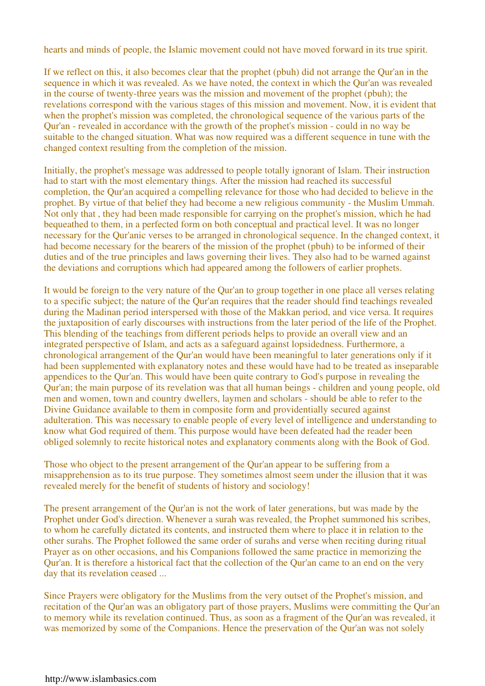hearts and minds of people, the Islamic movement could not have moved forward in its true spirit.

If we reflect on this, it also becomes clear that the prophet (pbuh) did not arrange the Qur'an in the sequence in which it was revealed. As we have noted, the context in which the Qur'an was revealed in the course of twenty-three years was the mission and movement of the prophet (pbuh); the revelations correspond with the various stages of this mission and movement. Now, it is evident that when the prophet's mission was completed, the chronological sequence of the various parts of the Qur'an - revealed in accordance with the growth of the prophet's mission - could in no way be suitable to the changed situation. What was now required was a different sequence in tune with the changed context resulting from the completion of the mission.

Initially, the prophet's message was addressed to people totally ignorant of Islam. Their instruction had to start with the most elementary things. After the mission had reached its successful completion, the Qur'an acquired a compelling relevance for those who had decided to believe in the prophet. By virtue of that belief they had become a new religious community - the Muslim Ummah. Not only that , they had been made responsible for carrying on the prophet's mission, which he had bequeathed to them, in a perfected form on both conceptual and practical level. It was no longer necessary for the Qur'anic verses to be arranged in chronological sequence. In the changed context, it had become necessary for the bearers of the mission of the prophet (pbuh) to be informed of their duties and of the true principles and laws governing their lives. They also had to be warned against the deviations and corruptions which had appeared among the followers of earlier prophets.

It would be foreign to the very nature of the Qur'an to group together in one place all verses relating to a specific subject; the nature of the Qur'an requires that the reader should find teachings revealed during the Madinan period interspersed with those of the Makkan period, and vice versa. It requires the juxtaposition of early discourses with instructions from the later period of the life of the Prophet. This blending of the teachings from different periods helps to provide an overall view and an integrated perspective of Islam, and acts as a safeguard against lopsidedness. Furthermore, a chronological arrangement of the Qur'an would have been meaningful to later generations only if it had been supplemented with explanatory notes and these would have had to be treated as inseparable appendices to the Qur'an. This would have been quite contrary to God's purpose in revealing the Qur'an; the main purpose of its revelation was that all human beings - children and young people, old men and women, town and country dwellers, laymen and scholars - should be able to refer to the Divine Guidance available to them in composite form and providentially secured against adulteration. This was necessary to enable people of every level of intelligence and understanding to know what God required of them. This purpose would have been defeated had the reader been obliged solemnly to recite historical notes and explanatory comments along with the Book of God.

Those who object to the present arrangement of the Qur'an appear to be suffering from a misapprehension as to its true purpose. They sometimes almost seem under the illusion that it was revealed merely for the benefit of students of history and sociology!

The present arrangement of the Qur'an is not the work of later generations, but was made by the Prophet under God's direction. Whenever a surah was revealed, the Prophet summoned his scribes, to whom he carefully dictated its contents, and instructed them where to place it in relation to the other surahs. The Prophet followed the same order of surahs and verse when reciting during ritual Prayer as on other occasions, and his Companions followed the same practice in memorizing the Qur'an. It is therefore a historical fact that the collection of the Qur'an came to an end on the very day that its revelation ceased ...

Since Prayers were obligatory for the Muslims from the very outset of the Prophet's mission, and recitation of the Qur'an was an obligatory part of those prayers, Muslims were committing the Qur'an to memory while its revelation continued. Thus, as soon as a fragment of the Qur'an was revealed, it was memorized by some of the Companions. Hence the preservation of the Qur'an was not solely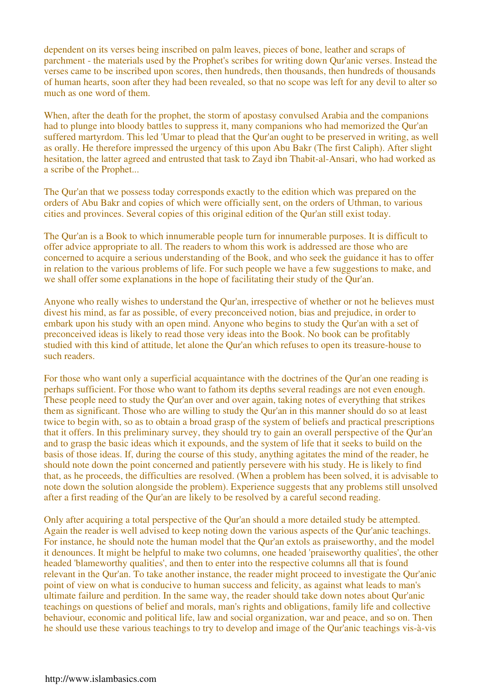dependent on its verses being inscribed on palm leaves, pieces of bone, leather and scraps of parchment - the materials used by the Prophet's scribes for writing down Qur'anic verses. Instead the verses came to be inscribed upon scores, then hundreds, then thousands, then hundreds of thousands of human hearts, soon after they had been revealed, so that no scope was left for any devil to alter so much as one word of them.

When, after the death for the prophet, the storm of apostasy convulsed Arabia and the companions had to plunge into bloody battles to suppress it, many companions who had memorized the Qur'an suffered martyrdom. This led 'Umar to plead that the Qur'an ought to be preserved in writing, as well as orally. He therefore impressed the urgency of this upon Abu Bakr (The first Caliph). After slight hesitation, the latter agreed and entrusted that task to Zayd ibn Thabit-al-Ansari, who had worked as a scribe of the Prophet...

The Qur'an that we possess today corresponds exactly to the edition which was prepared on the orders of Abu Bakr and copies of which were officially sent, on the orders of Uthman, to various cities and provinces. Several copies of this original edition of the Qur'an still exist today.

The Qur'an is a Book to which innumerable people turn for innumerable purposes. It is difficult to offer advice appropriate to all. The readers to whom this work is addressed are those who are concerned to acquire a serious understanding of the Book, and who seek the guidance it has to offer in relation to the various problems of life. For such people we have a few suggestions to make, and we shall offer some explanations in the hope of facilitating their study of the Qur'an.

Anyone who really wishes to understand the Qur'an, irrespective of whether or not he believes must divest his mind, as far as possible, of every preconceived notion, bias and prejudice, in order to embark upon his study with an open mind. Anyone who begins to study the Qur'an with a set of preconceived ideas is likely to read those very ideas into the Book. No book can be profitably studied with this kind of attitude, let alone the Qur'an which refuses to open its treasure-house to such readers.

For those who want only a superficial acquaintance with the doctrines of the Qur'an one reading is perhaps sufficient. For those who want to fathom its depths several readings are not even enough. These people need to study the Qur'an over and over again, taking notes of everything that strikes them as significant. Those who are willing to study the Qur'an in this manner should do so at least twice to begin with, so as to obtain a broad grasp of the system of beliefs and practical prescriptions that it offers. In this preliminary survey, they should try to gain an overall perspective of the Qur'an and to grasp the basic ideas which it expounds, and the system of life that it seeks to build on the basis of those ideas. If, during the course of this study, anything agitates the mind of the reader, he should note down the point concerned and patiently persevere with his study. He is likely to find that, as he proceeds, the difficulties are resolved. (When a problem has been solved, it is advisable to note down the solution alongside the problem). Experience suggests that any problems still unsolved after a first reading of the Qur'an are likely to be resolved by a careful second reading.

Only after acquiring a total perspective of the Qur'an should a more detailed study be attempted. Again the reader is well advised to keep noting down the various aspects of the Qur'anic teachings. For instance, he should note the human model that the Qur'an extols as praiseworthy, and the model it denounces. It might be helpful to make two columns, one headed 'praiseworthy qualities', the other headed 'blameworthy qualities', and then to enter into the respective columns all that is found relevant in the Qur'an. To take another instance, the reader might proceed to investigate the Qur'anic point of view on what is conducive to human success and felicity, as against what leads to man's ultimate failure and perdition. In the same way, the reader should take down notes about Qur'anic teachings on questions of belief and morals, man's rights and obligations, family life and collective behaviour, economic and political life, law and social organization, war and peace, and so on. Then he should use these various teachings to try to develop and image of the Qur'anic teachings vis-à-vis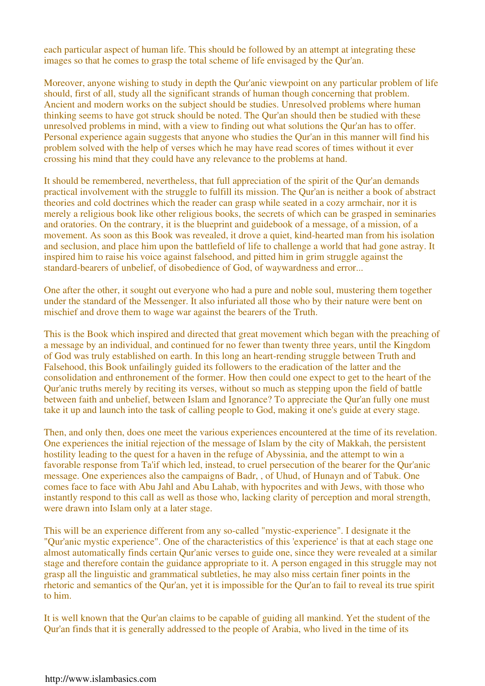each particular aspect of human life. This should be followed by an attempt at integrating these images so that he comes to grasp the total scheme of life envisaged by the Qur'an.

Moreover, anyone wishing to study in depth the Qur'anic viewpoint on any particular problem of life should, first of all, study all the significant strands of human though concerning that problem. Ancient and modern works on the subject should be studies. Unresolved problems where human thinking seems to have got struck should be noted. The Qur'an should then be studied with these unresolved problems in mind, with a view to finding out what solutions the Qur'an has to offer. Personal experience again suggests that anyone who studies the Qur'an in this manner will find his problem solved with the help of verses which he may have read scores of times without it ever crossing his mind that they could have any relevance to the problems at hand.

It should be remembered, nevertheless, that full appreciation of the spirit of the Qur'an demands practical involvement with the struggle to fulfill its mission. The Qur'an is neither a book of abstract theories and cold doctrines which the reader can grasp while seated in a cozy armchair, nor it is merely a religious book like other religious books, the secrets of which can be grasped in seminaries and oratories. On the contrary, it is the blueprint and guidebook of a message, of a mission, of a movement. As soon as this Book was revealed, it drove a quiet, kind-hearted man from his isolation and seclusion, and place him upon the battlefield of life to challenge a world that had gone astray. It inspired him to raise his voice against falsehood, and pitted him in grim struggle against the standard-bearers of unbelief, of disobedience of God, of waywardness and error...

One after the other, it sought out everyone who had a pure and noble soul, mustering them together under the standard of the Messenger. It also infuriated all those who by their nature were bent on mischief and drove them to wage war against the bearers of the Truth.

This is the Book which inspired and directed that great movement which began with the preaching of a message by an individual, and continued for no fewer than twenty three years, until the Kingdom of God was truly established on earth. In this long an heart-rending struggle between Truth and Falsehood, this Book unfailingly guided its followers to the eradication of the latter and the consolidation and enthronement of the former. How then could one expect to get to the heart of the Qur'anic truths merely by reciting its verses, without so much as stepping upon the field of battle between faith and unbelief, between Islam and Ignorance? To appreciate the Qur'an fully one must take it up and launch into the task of calling people to God, making it one's guide at every stage.

Then, and only then, does one meet the various experiences encountered at the time of its revelation. One experiences the initial rejection of the message of Islam by the city of Makkah, the persistent hostility leading to the quest for a haven in the refuge of Abyssinia, and the attempt to win a favorable response from Ta'if which led, instead, to cruel persecution of the bearer for the Qur'anic message. One experiences also the campaigns of Badr, , of Uhud, of Hunayn and of Tabuk. One comes face to face with Abu Jahl and Abu Lahab, with hypocrites and with Jews, with those who instantly respond to this call as well as those who, lacking clarity of perception and moral strength, were drawn into Islam only at a later stage.

This will be an experience different from any so-called "mystic-experience". I designate it the "Qur'anic mystic experience". One of the characteristics of this 'experience' is that at each stage one almost automatically finds certain Qur'anic verses to guide one, since they were revealed at a similar stage and therefore contain the guidance appropriate to it. A person engaged in this struggle may not grasp all the linguistic and grammatical subtleties, he may also miss certain finer points in the rhetoric and semantics of the Qur'an, yet it is impossible for the Qur'an to fail to reveal its true spirit to him.

It is well known that the Qur'an claims to be capable of guiding all mankind. Yet the student of the Qur'an finds that it is generally addressed to the people of Arabia, who lived in the time of its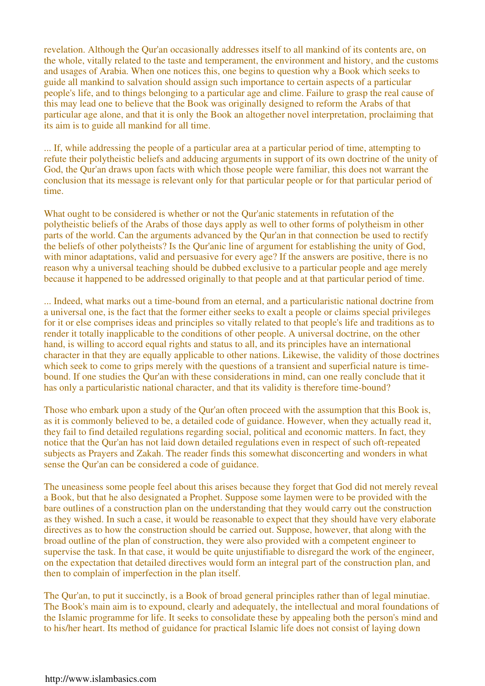revelation. Although the Qur'an occasionally addresses itself to all mankind of its contents are, on the whole, vitally related to the taste and temperament, the environment and history, and the customs and usages of Arabia. When one notices this, one begins to question why a Book which seeks to guide all mankind to salvation should assign such importance to certain aspects of a particular people's life, and to things belonging to a particular age and clime. Failure to grasp the real cause of this may lead one to believe that the Book was originally designed to reform the Arabs of that particular age alone, and that it is only the Book an altogether novel interpretation, proclaiming that its aim is to guide all mankind for all time.

... If, while addressing the people of a particular area at a particular period of time, attempting to refute their polytheistic beliefs and adducing arguments in support of its own doctrine of the unity of God, the Qur'an draws upon facts with which those people were familiar, this does not warrant the conclusion that its message is relevant only for that particular people or for that particular period of time.

What ought to be considered is whether or not the Qur'anic statements in refutation of the polytheistic beliefs of the Arabs of those days apply as well to other forms of polytheism in other parts of the world. Can the arguments advanced by the Qur'an in that connection be used to rectify the beliefs of other polytheists? Is the Qur'anic line of argument for establishing the unity of God, with minor adaptations, valid and persuasive for every age? If the answers are positive, there is no reason why a universal teaching should be dubbed exclusive to a particular people and age merely because it happened to be addressed originally to that people and at that particular period of time.

... Indeed, what marks out a time-bound from an eternal, and a particularistic national doctrine from a universal one, is the fact that the former either seeks to exalt a people or claims special privileges for it or else comprises ideas and principles so vitally related to that people's life and traditions as to render it totally inapplicable to the conditions of other people. A universal doctrine, on the other hand, is willing to accord equal rights and status to all, and its principles have an international character in that they are equally applicable to other nations. Likewise, the validity of those doctrines which seek to come to grips merely with the questions of a transient and superficial nature is timebound. If one studies the Qur'an with these considerations in mind, can one really conclude that it has only a particularistic national character, and that its validity is therefore time-bound?

Those who embark upon a study of the Qur'an often proceed with the assumption that this Book is, as it is commonly believed to be, a detailed code of guidance. However, when they actually read it, they fail to find detailed regulations regarding social, political and economic matters. In fact, they notice that the Qur'an has not laid down detailed regulations even in respect of such oft-repeated subjects as Prayers and Zakah. The reader finds this somewhat disconcerting and wonders in what sense the Qur'an can be considered a code of guidance.

The uneasiness some people feel about this arises because they forget that God did not merely reveal a Book, but that he also designated a Prophet. Suppose some laymen were to be provided with the bare outlines of a construction plan on the understanding that they would carry out the construction as they wished. In such a case, it would be reasonable to expect that they should have very elaborate directives as to how the construction should be carried out. Suppose, however, that along with the broad outline of the plan of construction, they were also provided with a competent engineer to supervise the task. In that case, it would be quite unjustifiable to disregard the work of the engineer, on the expectation that detailed directives would form an integral part of the construction plan, and then to complain of imperfection in the plan itself.

The Qur'an, to put it succinctly, is a Book of broad general principles rather than of legal minutiae. The Book's main aim is to expound, clearly and adequately, the intellectual and moral foundations of the Islamic programme for life. It seeks to consolidate these by appealing both the person's mind and to his/her heart. Its method of guidance for practical Islamic life does not consist of laying down